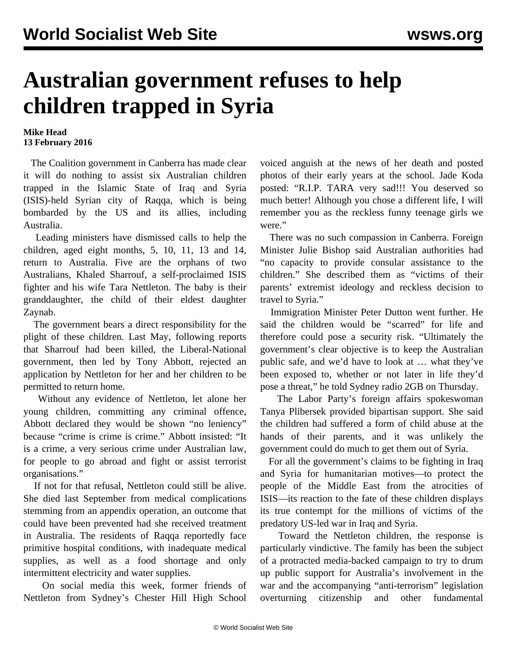## **Australian government refuses to help children trapped in Syria**

## **Mike Head 13 February 2016**

 The Coalition government in Canberra has made clear it will do nothing to assist six Australian children trapped in the Islamic State of Iraq and Syria (ISIS)-held Syrian city of Raqqa, which is being bombarded by the US and its allies, including Australia.

 Leading ministers have dismissed calls to help the children, aged eight months, 5, 10, 11, 13 and 14, return to Australia. Five are the orphans of two Australians, Khaled Sharrouf, a self-proclaimed ISIS fighter and his wife Tara Nettleton. The baby is their granddaughter, the child of their eldest daughter Zaynab.

 The government bears a direct responsibility for the plight of these children. Last May, following reports that Sharrouf had been killed, the Liberal-National government, then led by Tony Abbott, rejected an application by Nettleton for her and her children to be permitted to return home.

 Without any evidence of Nettleton, let alone her young children, committing any criminal offence, Abbott declared they would be shown "no leniency" because "crime is crime is crime." Abbott insisted: "It is a crime, a very serious crime under Australian law, for people to go abroad and fight or assist terrorist organisations."

 If not for that refusal, Nettleton could still be alive. She died last September from medical complications stemming from an appendix operation, an outcome that could have been prevented had she received treatment in Australia. The residents of Raqqa reportedly face primitive hospital conditions, with inadequate medical supplies, as well as a food shortage and only intermittent electricity and water supplies.

 On social media this week, former friends of Nettleton from Sydney's Chester Hill High School voiced anguish at the news of her death and posted photos of their early years at the school. Jade Koda posted: "R.I.P. TARA very sad!!! You deserved so much better! Although you chose a different life, I will remember you as the reckless funny teenage girls we were."

 There was no such compassion in Canberra. Foreign Minister Julie Bishop said Australian authorities had "no capacity to provide consular assistance to the children." She described them as "victims of their parents' extremist ideology and reckless decision to travel to Syria."

 Immigration Minister Peter Dutton went further. He said the children would be "scarred" for life and therefore could pose a security risk. "Ultimately the government's clear objective is to keep the Australian public safe, and we'd have to look at … what they've been exposed to, whether or not later in life they'd pose a threat," he told Sydney radio 2GB on Thursday.

 The Labor Party's foreign affairs spokeswoman Tanya Plibersek provided bipartisan support. She said the children had suffered a form of child abuse at the hands of their parents, and it was unlikely the government could do much to get them out of Syria.

 For all the government's claims to be fighting in Iraq and Syria for humanitarian motives—to protect the people of the Middle East from the atrocities of ISIS—its reaction to the fate of these children displays its true contempt for the millions of victims of the predatory US-led war in Iraq and Syria.

 Toward the Nettleton children, the response is particularly vindictive. The family has been the subject of a protracted media-backed campaign to try to drum up public support for Australia's involvement in the war and the accompanying "anti-terrorism" legislation overturning citizenship and other fundamental